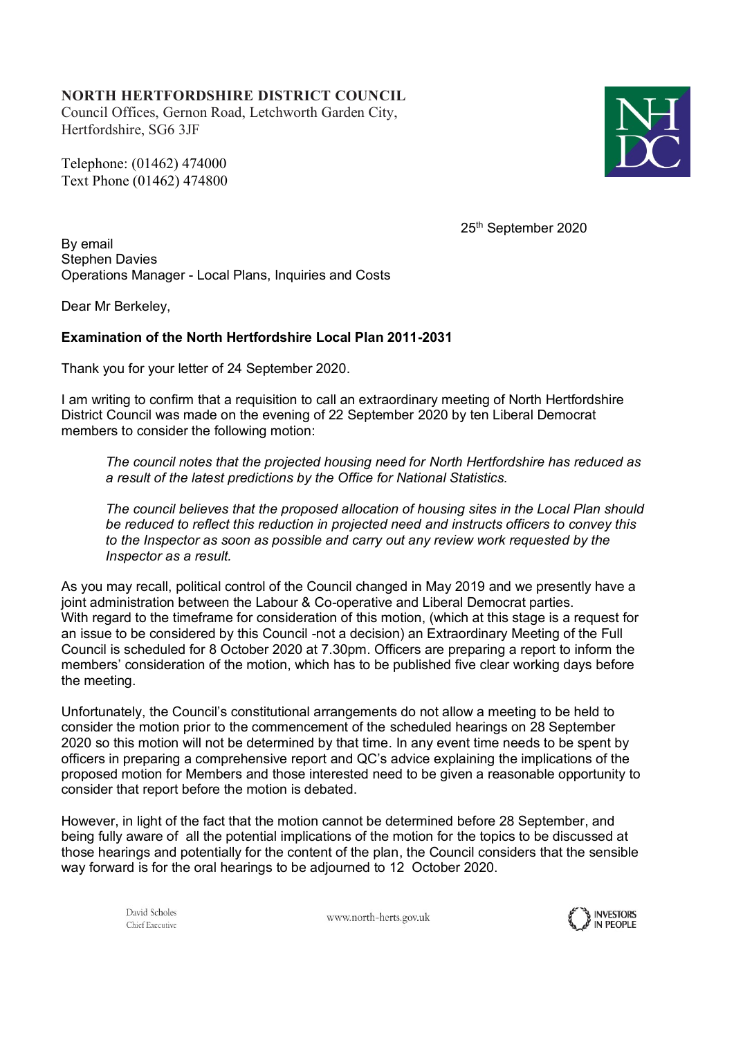## **NORTH HERTFORDSHIRE DISTRICT COUNCIL**

Council Offices, Gernon Road, Letchworth Garden City, Hertfordshire, SG6 3JF

Telephone: (01462) 474000 Text Phone (01462) 474800



25th September 2020

By email Stephen Davies Operations Manager - Local Plans, Inquiries and Costs

Dear Mr Berkeley,

## **Examination of the North Hertfordshire Local Plan 2011-2031**

Thank you for your letter of 24 September 2020.

I am writing to confirm that a requisition to call an extraordinary meeting of North Hertfordshire District Council was made on the evening of 22 September 2020 by ten Liberal Democrat members to consider the following motion:

*The council notes that the projected housing need for North Hertfordshire has reduced as a result of the latest predictions by the Office for National Statistics.*

*The council believes that the proposed allocation of housing sites in the Local Plan should be reduced to reflect this reduction in projected need and instructs officers to convey this to the Inspector as soon as possible and carry out any review work requested by the Inspector as a result.*

As you may recall, political control of the Council changed in May 2019 and we presently have a joint administration between the Labour & Co-operative and Liberal Democrat parties. With regard to the timeframe for consideration of this motion, (which at this stage is a request for an issue to be considered by this Council -not a decision) an Extraordinary Meeting of the Full Council is scheduled for 8 October 2020 at 7.30pm. Officers are preparing a report to inform the members' consideration of the motion, which has to be published five clear working days before the meeting.

Unfortunately, the Council's constitutional arrangements do not allow a meeting to be held to consider the motion prior to the commencement of the scheduled hearings on 28 September 2020 so this motion will not be determined by that time. In any event time needs to be spent by officers in preparing a comprehensive report and QC's advice explaining the implications of the proposed motion for Members and those interested need to be given a reasonable opportunity to consider that report before the motion is debated.

However, in light of the fact that the motion cannot be determined before 28 September, and being fully aware of all the potential implications of the motion for the topics to be discussed at those hearings and potentially for the content of the plan, the Council considers that the sensible way forward is for the oral hearings to be adjourned to 12 October 2020.

> David Scholes Chief Executive

www.north-herts.gov.uk